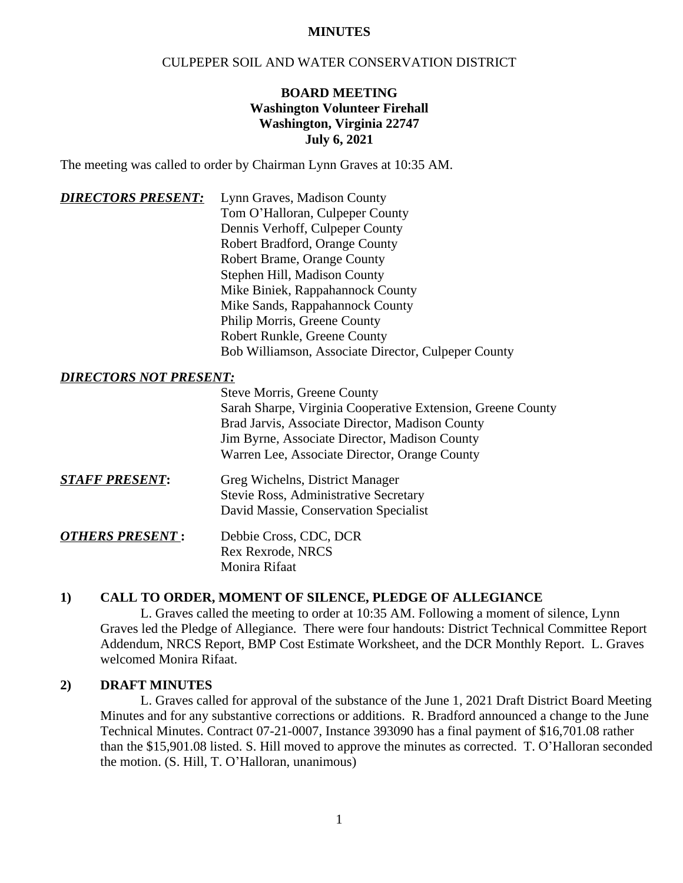#### **MINUTES**

## CULPEPER SOIL AND WATER CONSERVATION DISTRICT

## **BOARD MEETING Washington Volunteer Firehall Washington, Virginia 22747 July 6, 2021**

The meeting was called to order by Chairman Lynn Graves at 10:35 AM.

| <b>DIRECTORS PRESENT:</b> | Lynn Graves, Madison County                         |
|---------------------------|-----------------------------------------------------|
|                           | Tom O'Halloran, Culpeper County                     |
|                           | Dennis Verhoff, Culpeper County                     |
|                           | Robert Bradford, Orange County                      |
|                           | <b>Robert Brame, Orange County</b>                  |
|                           | Stephen Hill, Madison County                        |
|                           | Mike Biniek, Rappahannock County                    |
|                           | Mike Sands, Rappahannock County                     |
|                           | Philip Morris, Greene County                        |
|                           | Robert Runkle, Greene County                        |
|                           | Bob Williamson, Associate Director, Culpeper County |

#### *DIRECTORS NOT PRESENT:*

| <b>Steve Morris, Greene County</b>                          |
|-------------------------------------------------------------|
| Sarah Sharpe, Virginia Cooperative Extension, Greene County |
| Brad Jarvis, Associate Director, Madison County             |
| Jim Byrne, Associate Director, Madison County               |
| Warren Lee, Associate Director, Orange County               |

*STAFF PRESENT***:** Greg Wichelns, District Manager Stevie Ross, Administrative Secretary David Massie, Conservation Specialist

 *OTHERS PRESENT* **:** Debbie Cross, CDC, DCR Rex Rexrode, NRCS Monira Rifaat

#### **1) CALL TO ORDER, MOMENT OF SILENCE, PLEDGE OF ALLEGIANCE**

L. Graves called the meeting to order at 10:35 AM. Following a moment of silence, Lynn Graves led the Pledge of Allegiance. There were four handouts: District Technical Committee Report Addendum, NRCS Report, BMP Cost Estimate Worksheet, and the DCR Monthly Report. L. Graves welcomed Monira Rifaat.

#### **2) DRAFT MINUTES**

L. Graves called for approval of the substance of the June 1, 2021 Draft District Board Meeting Minutes and for any substantive corrections or additions. R. Bradford announced a change to the June Technical Minutes. Contract 07-21-0007, Instance 393090 has a final payment of \$16,701.08 rather than the \$15,901.08 listed. S. Hill moved to approve the minutes as corrected. T. O'Halloran seconded the motion. (S. Hill, T. O'Halloran, unanimous)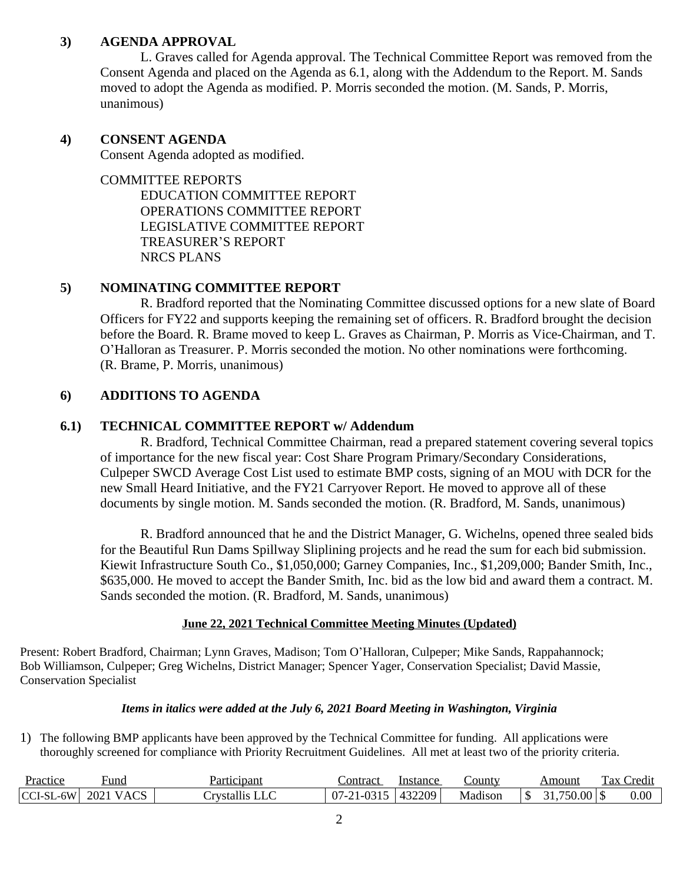## **3) AGENDA APPROVAL**

L. Graves called for Agenda approval. The Technical Committee Report was removed from the Consent Agenda and placed on the Agenda as 6.1, along with the Addendum to the Report. M. Sands moved to adopt the Agenda as modified. P. Morris seconded the motion. (M. Sands, P. Morris, unanimous)

#### **4) CONSENT AGENDA**

Consent Agenda adopted as modified.

COMMITTEE REPORTS

EDUCATION COMMITTEE REPORT OPERATIONS COMMITTEE REPORT LEGISLATIVE COMMITTEE REPORT TREASURER'S REPORT NRCS PLANS

## **5) NOMINATING COMMITTEE REPORT**

R. Bradford reported that the Nominating Committee discussed options for a new slate of Board Officers for FY22 and supports keeping the remaining set of officers. R. Bradford brought the decision before the Board. R. Brame moved to keep L. Graves as Chairman, P. Morris as Vice-Chairman, and T. O'Halloran as Treasurer. P. Morris seconded the motion. No other nominations were forthcoming. (R. Brame, P. Morris, unanimous)

### **6) ADDITIONS TO AGENDA**

### **6.1) TECHNICAL COMMITTEE REPORT w/ Addendum**

R. Bradford, Technical Committee Chairman, read a prepared statement covering several topics of importance for the new fiscal year: Cost Share Program Primary/Secondary Considerations, Culpeper SWCD Average Cost List used to estimate BMP costs, signing of an MOU with DCR for the new Small Heard Initiative, and the FY21 Carryover Report. He moved to approve all of these documents by single motion. M. Sands seconded the motion. (R. Bradford, M. Sands, unanimous)

R. Bradford announced that he and the District Manager, G. Wichelns, opened three sealed bids for the Beautiful Run Dams Spillway Sliplining projects and he read the sum for each bid submission. Kiewit Infrastructure South Co., \$1,050,000; Garney Companies, Inc., \$1,209,000; Bander Smith, Inc., \$635,000. He moved to accept the Bander Smith, Inc. bid as the low bid and award them a contract. M. Sands seconded the motion. (R. Bradford, M. Sands, unanimous)

### **June 22, 2021 Technical Committee Meeting Minutes (Updated)**

Present: Robert Bradford, Chairman; Lynn Graves, Madison; Tom O'Halloran, Culpeper; Mike Sands, Rappahannock; Bob Williamson, Culpeper; Greg Wichelns, District Manager; Spencer Yager, Conservation Specialist; David Massie, Conservation Specialist

#### *Items in italics were added at the July 6, 2021 Board Meeting in Washington, Virginia*

1) The following BMP applicants have been approved by the Technical Committee for funding. All applications were thoroughly screened for compliance with Priority Recruitment Guidelines. All met at least two of the priority criteria.

| <u>Practice</u>                                 | Fund                                   | Participant | ∟ontract                        | Instance           | _ounty  | Amount                                                         | $\mathbf{r}$<br>ax<br>Credit |
|-------------------------------------------------|----------------------------------------|-------------|---------------------------------|--------------------|---------|----------------------------------------------------------------|------------------------------|
| 6W<br>$\sim$ $\sim$<br>$\sim$<br>-2L<br>  UU 1- | $\sim$ $\sim$<br>2021<br>$\Delta$<br>∼ | حصد         | <b>1015</b><br>$\sim$<br>$\sim$ | 132209<br>$\prime$ | Madison | $\overline{a}$ $\overline{c}$ $\overline{c}$<br>50.00<br>- N.H | 0.00                         |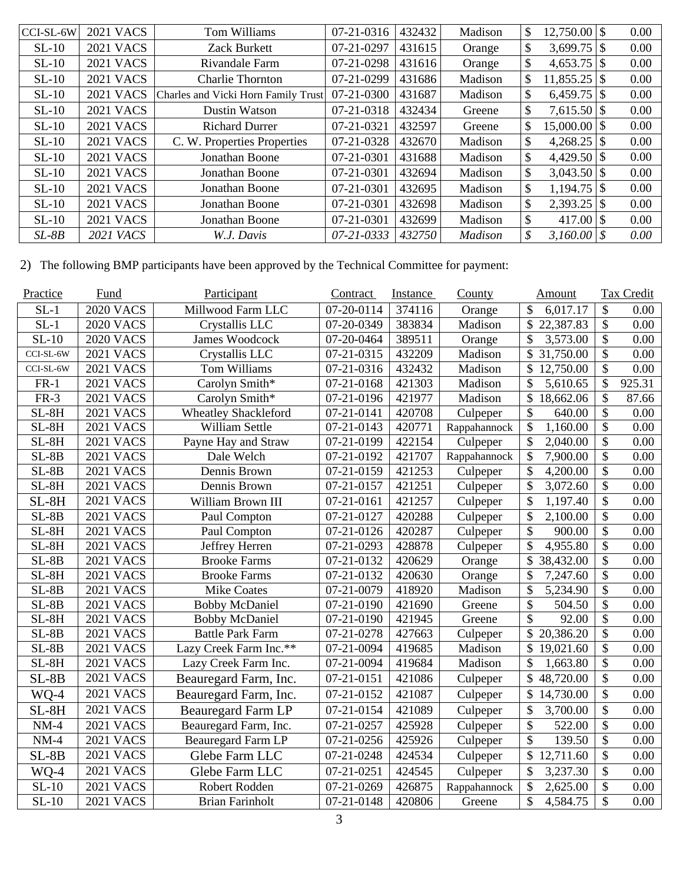| $ CCI-SL-6W$ | <b>2021 VACS</b> | Tom Williams                        | 07-21-0316 | 432432 | Madison        | \$<br>$12,750.00$ \ \\$ |     | 0.00 |
|--------------|------------------|-------------------------------------|------------|--------|----------------|-------------------------|-----|------|
| $SL-10$      | <b>2021 VACS</b> | Zack Burkett                        | 07-21-0297 | 431615 | Orange         | \$<br>$3,699.75$ \\$    |     | 0.00 |
| $SL-10$      | <b>2021 VACS</b> | Rivandale Farm                      | 07-21-0298 | 431616 | Orange         | \$<br>$4,653.75$ \\$    |     | 0.00 |
| $SL-10$      | <b>2021 VACS</b> | <b>Charlie Thornton</b>             | 07-21-0299 | 431686 | Madison        | \$<br>$11,855.25$ \\$   |     | 0.00 |
| $SL-10$      | <b>2021 VACS</b> | Charles and Vicki Horn Family Trust | 07-21-0300 | 431687 | Madison        | \$<br>$6,459.75$ \\$    |     | 0.00 |
| $SL-10$      | <b>2021 VACS</b> | <b>Dustin Watson</b>                | 07-21-0318 | 432434 | Greene         | \$<br>$7,615.50$ \\$    |     | 0.00 |
| $SL-10$      | <b>2021 VACS</b> | <b>Richard Durrer</b>               | 07-21-0321 | 432597 | Greene         | \$<br>$15,000.00$ \\$   |     | 0.00 |
| $SL-10$      | <b>2021 VACS</b> | C. W. Properties Properties         | 07-21-0328 | 432670 | Madison        | \$<br>$4,268.25$ \\$    |     | 0.00 |
| $SL-10$      | <b>2021 VACS</b> | Jonathan Boone                      | 07-21-0301 | 431688 | Madison        | \$<br>$4,429.50$ \\$    |     | 0.00 |
| $SL-10$      | <b>2021 VACS</b> | Jonathan Boone                      | 07-21-0301 | 432694 | Madison        | \$                      |     | 0.00 |
| $SL-10$      | <b>2021 VACS</b> | Jonathan Boone                      | 07-21-0301 | 432695 | Madison        | \$                      |     | 0.00 |
| $SL-10$      | <b>2021 VACS</b> | Jonathan Boone                      | 07-21-0301 | 432698 | Madison        | \$<br>2,393.25          |     | 0.00 |
| $SL-10$      | <b>2021 VACS</b> | Jonathan Boone                      | 07-21-0301 | 432699 | Madison        | \$<br>417.00            | l S | 0.00 |
| $SL-8B$      | <b>2021 VACS</b> | W.J. Davis                          | 07-21-0333 | 432750 | <b>Madison</b> | \$<br>$3,160.00$ \ \$   |     | 0.00 |
|              |                  |                                     |            |        |                |                         |     |      |

2) The following BMP participants have been approved by the Technical Committee for payment:

| Practice  | Fund             | Participant                 | Contract   | Instance | <b>County</b> | <b>Amount</b>             |                                 | <b>Tax Credit</b> |
|-----------|------------------|-----------------------------|------------|----------|---------------|---------------------------|---------------------------------|-------------------|
| $SL-1$    | <b>2020 VACS</b> | Millwood Farm LLC           | 07-20-0114 | 374116   | Orange        | 6,017.17                  | \$                              | 0.00              |
| $SL-1$    | <b>2020 VACS</b> | Crystallis LLC              | 07-20-0349 | 383834   | Madison       | \$<br>22,387.83           | $\mathcal{S}$                   | 0.00              |
| $SL-10$   | <b>2020 VACS</b> | James Woodcock              | 07-20-0464 | 389511   | Orange        | \$<br>3,573.00            | $\mathcal{S}$                   | 0.00              |
| CCI-SL-6W | <b>2021 VACS</b> | Crystallis LLC              | 07-21-0315 | 432209   | Madison       | \$<br>31,750.00           | \$                              | 0.00              |
| CCI-SL-6W | <b>2021 VACS</b> | Tom Williams                | 07-21-0316 | 432432   | Madison       | \$<br>12,750.00           | $\mathcal{S}$                   | 0.00              |
| $FR-1$    | <b>2021 VACS</b> | Carolyn Smith*              | 07-21-0168 | 421303   | Madison       | \$<br>5,610.65            | \$                              | 925.31            |
| $FR-3$    | <b>2021 VACS</b> | Carolyn Smith*              | 07-21-0196 | 421977   | Madison       | \$<br>18,662.06           | $\overline{\$}$                 | 87.66             |
| $SL-8H$   | <b>2021 VACS</b> | <b>Wheatley Shackleford</b> | 07-21-0141 | 420708   | Culpeper      | \$<br>640.00              | $\mathcal{S}$                   | 0.00              |
| $SL-8H$   | <b>2021 VACS</b> | William Settle              | 07-21-0143 | 420771   | Rappahannock  | \$<br>1,160.00            | \$                              | 0.00              |
| $SL-8H$   | <b>2021 VACS</b> | Payne Hay and Straw         | 07-21-0199 | 422154   | Culpeper      | \$<br>2,040.00            | \$                              | 0.00              |
| $SL-8B$   | <b>2021 VACS</b> | Dale Welch                  | 07-21-0192 | 421707   | Rappahannock  | \$<br>7,900.00            | $\mathcal{S}$                   | 0.00              |
| $SL-8B$   | <b>2021 VACS</b> | Dennis Brown                | 07-21-0159 | 421253   | Culpeper      | \$<br>4,200.00            | $\mathcal{S}$                   | 0.00              |
| $SL-8H$   | <b>2021 VACS</b> | Dennis Brown                | 07-21-0157 | 421251   | Culpeper      | \$<br>3,072.60            | $\overline{\mathcal{S}}$        | 0.00              |
| $SL-8H$   | <b>2021 VACS</b> | William Brown III           | 07-21-0161 | 421257   | Culpeper      | \$<br>1,197.40            | $\mathcal{S}$                   | 0.00              |
| $SL-8B$   | <b>2021 VACS</b> | Paul Compton                | 07-21-0127 | 420288   | Culpeper      | \$<br>2,100.00            | $\overline{\$}$                 | 0.00              |
| $SL-8H$   | <b>2021 VACS</b> | Paul Compton                | 07-21-0126 | 420287   | Culpeper      | \$<br>900.00              | $\overline{\$}$                 | 0.00              |
| $SL-8H$   | <b>2021 VACS</b> | Jeffrey Herren              | 07-21-0293 | 428878   | Culpeper      | \$<br>4,955.80            | $\overline{\mathcal{S}}$        | 0.00              |
| $SL-8B$   | <b>2021 VACS</b> | <b>Brooke Farms</b>         | 07-21-0132 | 420629   | Orange        | \$<br>38,432.00           | $\mathcal{S}$                   | 0.00              |
| $SL-8H$   | <b>2021 VACS</b> | <b>Brooke Farms</b>         | 07-21-0132 | 420630   | Orange        | $\mathcal{S}$<br>7,247.60 | \$                              | 0.00              |
| $SL-8B$   | <b>2021 VACS</b> | <b>Mike Coates</b>          | 07-21-0079 | 418920   | Madison       | \$<br>5,234.90            | \$                              | 0.00              |
| $SL-8B$   | <b>2021 VACS</b> | <b>Bobby McDaniel</b>       | 07-21-0190 | 421690   | Greene        | \$<br>504.50              | \$                              | 0.00              |
| $SL-8H$   | <b>2021 VACS</b> | <b>Bobby McDaniel</b>       | 07-21-0190 | 421945   | Greene        | $\mathcal{S}$<br>92.00    | $\mathcal{S}$                   | 0.00              |
| $SL-8B$   | <b>2021 VACS</b> | <b>Battle Park Farm</b>     | 07-21-0278 | 427663   | Culpeper      | \$<br>20,386.20           | $\mathcal{S}$                   | 0.00              |
| $SL-8B$   | <b>2021 VACS</b> | Lazy Creek Farm Inc.**      | 07-21-0094 | 419685   | Madison       | \$<br>19,021.60           | \$                              | 0.00              |
| $SL-8H$   | <b>2021 VACS</b> | Lazy Creek Farm Inc.        | 07-21-0094 | 419684   | Madison       | \$<br>1,663.80            | $\mathcal{S}$                   | 0.00              |
| $SL-8B$   | <b>2021 VACS</b> | Beauregard Farm, Inc.       | 07-21-0151 | 421086   | Culpeper      | 48,720.00                 | $\boldsymbol{\hat{\mathsf{S}}}$ | 0.00              |
| WQ-4      | <b>2021 VACS</b> | Beauregard Farm, Inc.       | 07-21-0152 | 421087   | Culpeper      | \$<br>14,730.00           | $\mathcal{S}$                   | 0.00              |
| $SL-8H$   | <b>2021 VACS</b> | <b>Beauregard Farm LP</b>   | 07-21-0154 | 421089   | Culpeper      | \$<br>3,700.00            | \$                              | 0.00              |
| $NM-4$    | <b>2021 VACS</b> | Beauregard Farm, Inc.       | 07-21-0257 | 425928   | Culpeper      | \$<br>522.00              | $\mathcal{S}$                   | 0.00              |
| $NM-4$    | <b>2021 VACS</b> | Beauregard Farm LP          | 07-21-0256 | 425926   | Culpeper      | $\mathsf{\$}$<br>139.50   | \$                              | 0.00              |
| $SL-8B$   | <b>2021 VACS</b> | Glebe Farm LLC              | 07-21-0248 | 424534   | Culpeper      | \$<br>12,711.60           | $\mathcal{S}$                   | 0.00              |
| WQ-4      | <b>2021 VACS</b> | Glebe Farm LLC              | 07-21-0251 | 424545   | Culpeper      | $\mathcal{S}$<br>3,237.30 | $\mathbb{S}$                    | 0.00              |
| $SL-10$   | <b>2021 VACS</b> | Robert Rodden               | 07-21-0269 | 426875   | Rappahannock  | $\mathcal{S}$<br>2,625.00 | \$                              | 0.00              |
| $SL-10$   | <b>2021 VACS</b> | <b>Brian Farinholt</b>      | 07-21-0148 | 420806   | Greene        | \$<br>4,584.75            | $\mathcal{S}$                   | 0.00              |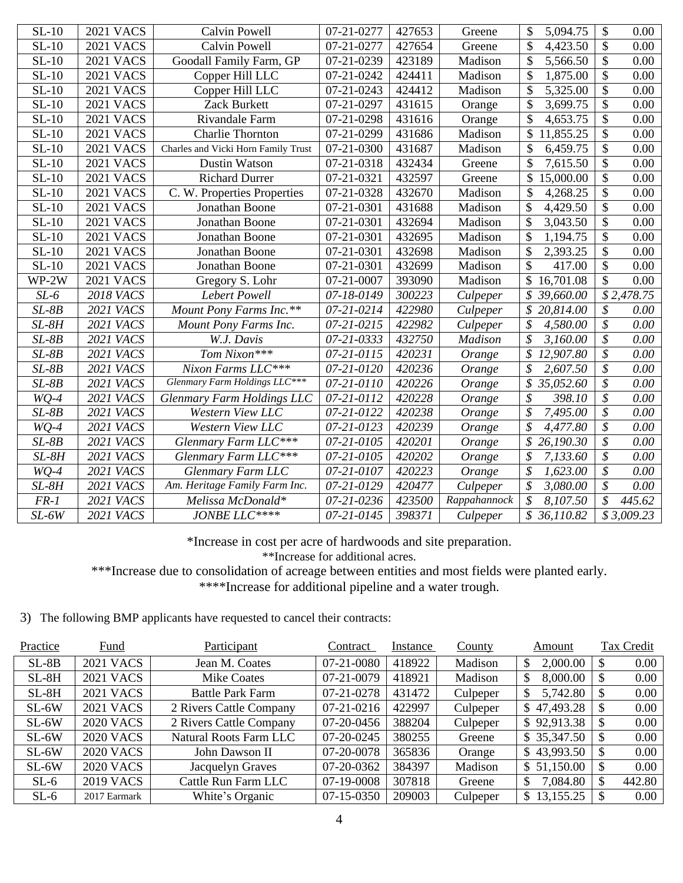| $SL-10$ | <b>2021 VACS</b> | Calvin Powell                       | 07-21-0277       | 427653 | Greene       | \$<br>5,094.75                       | \$<br>0.00                       |
|---------|------------------|-------------------------------------|------------------|--------|--------------|--------------------------------------|----------------------------------|
| $SL-10$ | <b>2021 VACS</b> | <b>Calvin Powell</b>                | 07-21-0277       | 427654 | Greene       | \$<br>4,423.50                       | \$<br>0.00                       |
| $SL-10$ | <b>2021 VACS</b> | Goodall Family Farm, GP             | 07-21-0239       | 423189 | Madison      | \$<br>5,566.50                       | \$<br>0.00                       |
| $SL-10$ | <b>2021 VACS</b> | Copper Hill LLC                     | 07-21-0242       | 424411 | Madison      | \$<br>1,875.00                       | \$<br>0.00                       |
| $SL-10$ | <b>2021 VACS</b> | Copper Hill LLC                     | 07-21-0243       | 424412 | Madison      | \$<br>5,325.00                       | $\overline{\$}$<br>0.00          |
| $SL-10$ | <b>2021 VACS</b> | Zack Burkett                        | 07-21-0297       | 431615 | Orange       | \$<br>3,699.75                       | $\overline{\$}$<br>0.00          |
| $SL-10$ | <b>2021 VACS</b> | Rivandale Farm                      | 07-21-0298       | 431616 | Orange       | \$<br>4,653.75                       | $\overline{\$}$<br>0.00          |
| $SL-10$ | <b>2021 VACS</b> | <b>Charlie Thornton</b>             | 07-21-0299       | 431686 | Madison      | \$<br>11,855.25                      | \$<br>0.00                       |
| $SL-10$ | <b>2021 VACS</b> | Charles and Vicki Horn Family Trust | 07-21-0300       | 431687 | Madison      | \$<br>6,459.75                       | \$<br>0.00                       |
| $SL-10$ | <b>2021 VACS</b> | Dustin Watson                       | 07-21-0318       | 432434 | Greene       | 7,615.50                             | \$<br>0.00                       |
| $SL-10$ | <b>2021 VACS</b> | <b>Richard Durrer</b>               | 07-21-0321       | 432597 | Greene       | 15,000.00                            | \$<br>0.00                       |
| $SL-10$ | <b>2021 VACS</b> | C. W. Properties Properties         | 07-21-0328       | 432670 | Madison      | \$<br>4,268.25                       | \$<br>0.00                       |
| $SL-10$ | <b>2021 VACS</b> | Jonathan Boone                      | 07-21-0301       | 431688 | Madison      | \$<br>4,429.50                       | \$<br>0.00                       |
| $SL-10$ | <b>2021 VACS</b> | Jonathan Boone                      | 07-21-0301       | 432694 | Madison      | \$<br>3,043.50                       | \$<br>0.00                       |
| $SL-10$ | <b>2021 VACS</b> | Jonathan Boone                      | 07-21-0301       | 432695 | Madison      | 1,194.75                             | \$<br>0.00                       |
| $SL-10$ | <b>2021 VACS</b> | Jonathan Boone                      | 07-21-0301       | 432698 | Madison      | \$<br>2,393.25                       | \$<br>0.00                       |
| $SL-10$ | <b>2021 VACS</b> | Jonathan Boone                      | 07-21-0301       | 432699 | Madison      | \$<br>417.00                         | \$<br>0.00                       |
| WP-2W   | <b>2021 VACS</b> | Gregory S. Lohr                     | 07-21-0007       | 393090 | Madison      | \$<br>16,701.08                      | \$<br>0.00                       |
| $SL-6$  | <b>2018 VACS</b> | Lebert Powell                       | 07-18-0149       | 300223 | Culpeper     | \$<br>39,660.00                      | \$2,478.75                       |
| $SL-8B$ | 2021 VACS        | Mount Pony Farms Inc.**             | 07-21-0214       | 422980 | Culpeper     | \$<br>20,814.00                      | $\overline{\mathcal{S}}$<br>0.00 |
| $SL-8H$ | 2021 VACS        | Mount Pony Farms Inc.               | $07 - 21 - 0215$ | 422982 | Culpeper     | \$<br>4,580.00                       | $\overline{\mathcal{S}}$<br>0.00 |
| $SL-8B$ | 2021 VACS        | W.J. Davis                          | 07-21-0333       | 432750 | Madison      | \$<br>3,160.00                       | $\overline{\mathcal{S}}$<br>0.00 |
| $SL-8B$ | <b>2021 VACS</b> | Tom Nixon***                        | 07-21-0115       | 420231 | Orange       | \$<br>12,907.80                      | \$<br>0.00                       |
| $SL-8B$ | 2021 VACS        | Nixon Farms LLC***                  | 07-21-0120       | 420236 | Orange       | \$<br>2,607.50                       | \$<br>0.00                       |
| $SL-8B$ | <b>2021 VACS</b> | Glenmary Farm Holdings LLC***       | 07-21-0110       | 420226 | Orange       | 35,052.60<br>\$                      | \$<br>0.00                       |
| $WQ-4$  | 2021 VACS        | Glenmary Farm Holdings LLC          | 07-21-0112       | 420228 | Orange       | $\boldsymbol{\mathcal{S}}$<br>398.10 | \$<br>0.00                       |
| $SL-8B$ | 2021 VACS        | Western View LLC                    | 07-21-0122       | 420238 | Orange       | $\mathcal{S}_{0}$<br>7,495.00        | \$<br>0.00                       |
| $WQ-4$  | 2021 VACS        | Western View LLC                    | 07-21-0123       | 420239 | Orange       | $\mathcal{S}_{0}$<br>4,477.80        | \$<br>0.00                       |
| $SL-8B$ | 2021 VACS        | Glenmary Farm LLC***                | 07-21-0105       | 420201 | Orange       | 26,190.30                            | \$<br>0.00                       |
| $SL-8H$ | 2021 VACS        | Glenmary Farm LLC***                | 07-21-0105       | 420202 | Orange       | \$<br>7,133.60                       | \$<br>0.00                       |
| $WQ-4$  | 2021 VACS        | Glenmary Farm LLC                   | 07-21-0107       | 420223 | Orange       | \$<br>1,623.00                       | \$<br>0.00                       |
| $SL-8H$ | 2021 VACS        | Am. Heritage Family Farm Inc.       | 07-21-0129       | 420477 | Culpeper     | $\mathcal{S}$<br>3,080.00            | \$<br>0.00                       |
| $FR-1$  | <b>2021 VACS</b> | Melissa McDonald*                   | 07-21-0236       | 423500 | Rappahannock | $\mathcal{S}_{0}$<br>8,107.50        | \$<br>445.62                     |
| $SL-6W$ | <b>2021 VACS</b> | JONBE LLC****                       | 07-21-0145       | 398371 | Culpeper     | 36,110.82                            | \$3,009.23                       |

\*Increase in cost per acre of hardwoods and site preparation.

\*\*Increase for additional acres.

\*\*\*Increase due to consolidation of acreage between entities and most fields were planted early.

\*\*\*\*\*Increase for additional pipeline and a water trough.

3) The following BMP applicants have requested to cancel their contracts:

| Practice | Fund             | Participant             | Contract   | Instance | <b>County</b> | Amount          | Tax Credit            |
|----------|------------------|-------------------------|------------|----------|---------------|-----------------|-----------------------|
| $SL-8B$  | <b>2021 VACS</b> | Jean M. Coates          | 07-21-0080 | 418922   | Madison       | 2,000.00<br>\$  | 0.00<br>\$.           |
| $SL-8H$  | <b>2021 VACS</b> | <b>Mike Coates</b>      | 07-21-0079 | 418921   | Madison       | 8,000.00<br>\$  | 0.00<br>\$            |
| $SL-8H$  | <b>2021 VACS</b> | <b>Battle Park Farm</b> | 07-21-0278 | 431472   | Culpeper      | 5,742.80        | 0.00<br>S             |
| $SL-6W$  | <b>2021 VACS</b> | 2 Rivers Cattle Company | 07-21-0216 | 422997   | Culpeper      | \$47,493.28     | 0.00<br>\$            |
| $SL-6W$  | <b>2020 VACS</b> | 2 Rivers Cattle Company | 07-20-0456 | 388204   | Culpeper      | \$92,913.38     | 0.00<br><sup>\$</sup> |
| $SL-6W$  | <b>2020 VACS</b> | Natural Roots Farm LLC  | 07-20-0245 | 380255   | Greene        | \$ 35,347.50    | 0.00<br>S             |
| $SL-6W$  | <b>2020 VACS</b> | John Dawson II          | 07-20-0078 | 365836   | Orange        | \$43,993.50     | 0.00<br>S             |
| $SL-6W$  | <b>2020 VACS</b> | Jacquelyn Graves        | 07-20-0362 | 384397   | Madison       | \$51,150.00     | 0.00<br>\$            |
| $SL-6$   | <b>2019 VACS</b> | Cattle Run Farm LLC     | 07-19-0008 | 307818   | Greene        | 7,084.80<br>\$  | 442.80<br>\$          |
| $SL-6$   | 2017 Earmark     | White's Organic         | 07-15-0350 | 209003   | Culpeper      | 13,155.25<br>S. | 0.00                  |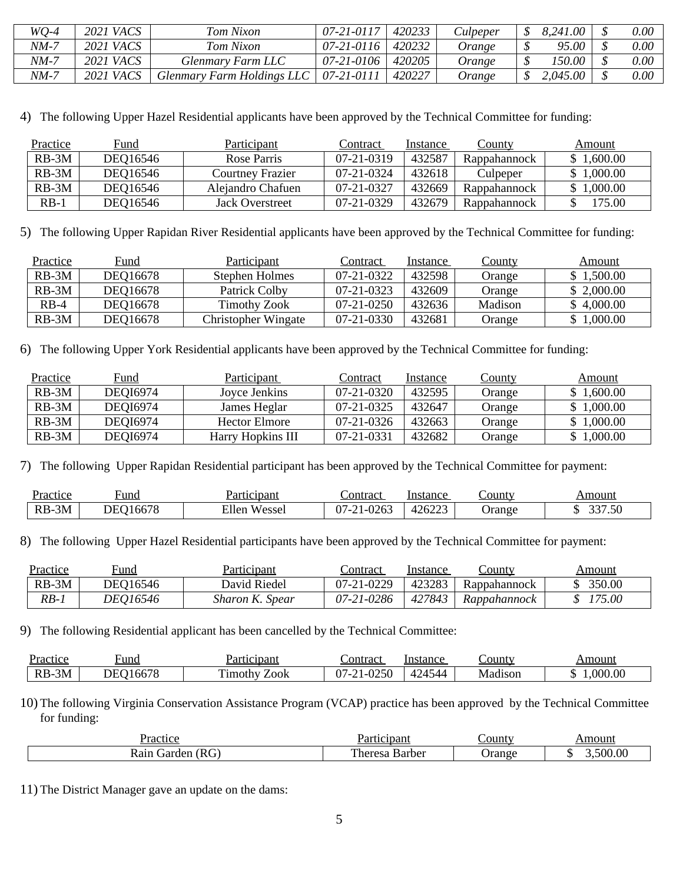| $WQ-4$ | <b>2021 VACS</b> | Tom Nixon                         | 07-21-0117 | 420233 | Culpeper | 8,241.00 | 0.00     |
|--------|------------------|-----------------------------------|------------|--------|----------|----------|----------|
| $NM-7$ | 2021 VACS        | Tom Nixon                         | 07-21-0116 | 420232 | Orange   | 95.00    | $0.00\,$ |
| NM-7   | 2021 <i>VACS</i> | Glenmary Farm LLC                 | 07-21-0106 | 420205 | Orange   | 150.00   | $0.00\,$ |
| NM-7   | 2021 VACS        | <b>Glenmary Farm Holdings LLC</b> | 07-21-0111 | 420227 | Orange   | 2,045.00 | 0.00     |

4) The following Upper Hazel Residential applicants have been approved by the Technical Committee for funding:

| Practice | Fund     | Participant       | Contract         | Instance | County       | Amount     |
|----------|----------|-------------------|------------------|----------|--------------|------------|
| $RB-3M$  | DEQ16546 | Rose Parris       | 07-21-0319       | 432587   | Rappahannock | \$1,600.00 |
| $RB-3M$  | DEO16546 | Courtney Frazier  | $07 - 21 - 0324$ | 432618   | Culpeper     | \$1,000.00 |
| $RB-3M$  | DEO16546 | Alejandro Chafuen | 07-21-0327       | 432669   | Rappahannock | \$1,000.00 |
| $RB-1$   | DEQ16546 | Jack Overstreet   | $07-21-0329$     | 432679   | Rappahannock | 175.00     |

5) The following Upper Rapidan River Residential applicants have been approved by the Technical Committee for funding:

| Practice | Fund     | Participant                | Contract     | Instance | <u>County</u> | Amount     |
|----------|----------|----------------------------|--------------|----------|---------------|------------|
| $RB-3M$  | DEQ16678 | Stephen Holmes             | 07-21-0322   | 432598   | Orange        | \$1,500.00 |
| $RB-3M$  | DEQ16678 | Patrick Colby              | 07-21-0323   | 432609   | Orange        | \$2,000.00 |
| $RB-4$   | DEO16678 | Timothy Zook               | $07-21-0250$ | 432636   | Madison       | \$4,000.00 |
| $RB-3M$  | DEQ16678 | <b>Christopher Wingate</b> | 07-21-0330   | 432681   | Orange        | 1,000.00   |

6) The following Upper York Residential applicants have been approved by the Technical Committee for funding:

| Practice | Fund     | Participant       | Contract     | Instance | <u>County</u> | Amount     |
|----------|----------|-------------------|--------------|----------|---------------|------------|
| $RB-3M$  | DEQI6974 | Jovce Jenkins     | 07-21-0320   | 432595   | Orange        | \$1,600.00 |
| $RB-3M$  | DEQI6974 | James Heglar      | $07-21-0325$ | 432647   | Orange        | 1,000.00   |
| $RB-3M$  | DEOI6974 | Hector Elmore     | $07-21-0326$ | 432663   | Orange        | 1,000.00   |
| $RB-3M$  | DEQI6974 | Harry Hopkins III | 07-21-0331   | 432682   | Orange        | 1,000.00   |

7) The following Upper Rapidan Residential participant has been approved by the Technical Committee for payment:

| Practice       | ∺und                             | Participant                   | ∟ontract   | Instance      | County: | Amount              |
|----------------|----------------------------------|-------------------------------|------------|---------------|---------|---------------------|
| $RB-$<br>$-3M$ | $\sim$<br>$\sim$<br>DE۱<br>100/2 | $-11$<br>esse.<br>Ellen<br>W. | )7-<br>—س⊿ | 126222<br>420 | Orange  | $227 - 72$<br>` • ~ |

8) The following Upper Hazel Residential participants have been approved by the Technical Committee for payment:

| Practice | Fund            | <b>Participant</b> | ∪ontract     | Instance | -ountv       | Amount |
|----------|-----------------|--------------------|--------------|----------|--------------|--------|
| $RB-3M$  | DEO16546        | David Riedel       | 07-21-0229   | 423283   | Rappahannock | 350.00 |
| RB-.     | <i>DEO16546</i> | Sharon K. Spear    | $07-21-0286$ | 427843   | Rappahannock | 175.00 |

9) The following Residential applicant has been cancelled by the Technical Committee:

| Practice       | ⊦und                              | Participant    | ∟ontrac†                            | Instance | _ounty  | Amouni        |
|----------------|-----------------------------------|----------------|-------------------------------------|----------|---------|---------------|
| $-3M$<br>$RB-$ | $\sim$<br>$\sim$ 1<br>DE<br>100/c | Zook<br>1mothy | $\cap$ $\cap$ $\cap$<br>)7-′<br>ור: | 24544    | Madison | ,000.00<br>۰υ |

10) The following Virginia Conservation Assistance Program (VCAP) practice has been approved by the Technical Committee for funding:

| $\sim$ times<br>TAC<br>பட                          | $   -$                                 | 'ountv | moun                   |
|----------------------------------------------------|----------------------------------------|--------|------------------------|
| ∼<br>$\alpha$ air<br>.12 <sup>r</sup><br>der.<br>- | $\sim$<br>. ne*<br>ne.<br>$\mathbf{r}$ | Jrang  | $\alpha$<br>500<br>,,, |

11) The District Manager gave an update on the dams: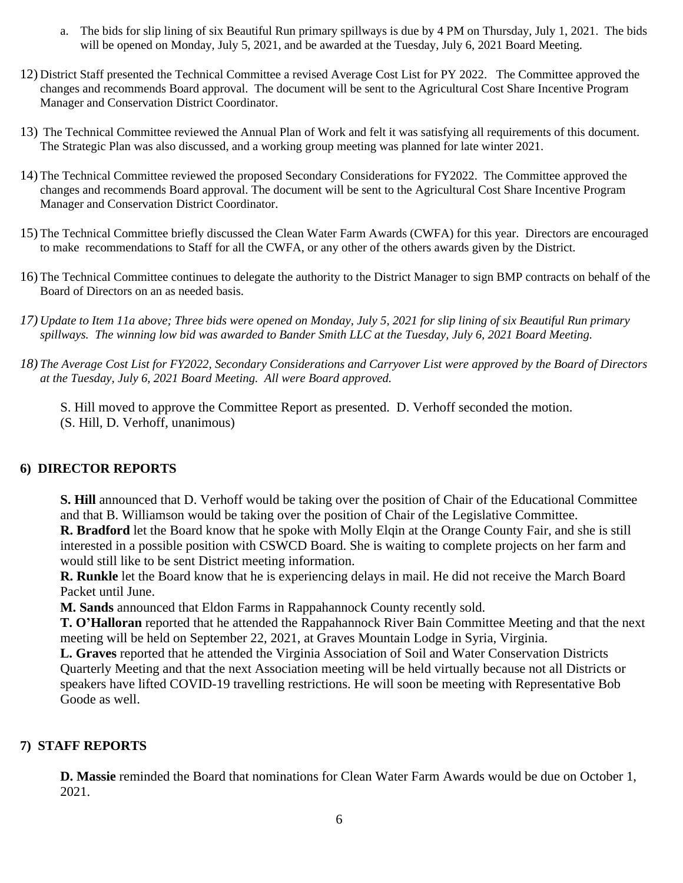- a. The bids for slip lining of six Beautiful Run primary spillways is due by 4 PM on Thursday, July 1, 2021. The bids will be opened on Monday, July 5, 2021, and be awarded at the Tuesday, July 6, 2021 Board Meeting.
- 12) District Staff presented the Technical Committee a revised Average Cost List for PY 2022. The Committee approved the changes and recommends Board approval. The document will be sent to the Agricultural Cost Share Incentive Program Manager and Conservation District Coordinator.
- 13) The Technical Committee reviewed the Annual Plan of Work and felt it was satisfying all requirements of this document. The Strategic Plan was also discussed, and a working group meeting was planned for late winter 2021.
- 14) The Technical Committee reviewed the proposed Secondary Considerations for FY2022. The Committee approved the changes and recommends Board approval. The document will be sent to the Agricultural Cost Share Incentive Program Manager and Conservation District Coordinator.
- 15) The Technical Committee briefly discussed the Clean Water Farm Awards (CWFA) for this year. Directors are encouraged to make recommendations to Staff for all the CWFA, or any other of the others awards given by the District.
- 16) The Technical Committee continues to delegate the authority to the District Manager to sign BMP contracts on behalf of the Board of Directors on an as needed basis.
- *17) Update to Item 11a above; Three bids were opened on Monday, July 5, 2021 for slip lining of six Beautiful Run primary spillways. The winning low bid was awarded to Bander Smith LLC at the Tuesday, July 6, 2021 Board Meeting.*
- *18) The Average Cost List for FY2022, Secondary Considerations and Carryover List were approved by the Board of Directors at the Tuesday, July 6, 2021 Board Meeting. All were Board approved.*

S. Hill moved to approve the Committee Report as presented. D. Verhoff seconded the motion. (S. Hill, D. Verhoff, unanimous)

### **6) DIRECTOR REPORTS**

**S. Hill** announced that D. Verhoff would be taking over the position of Chair of the Educational Committee and that B. Williamson would be taking over the position of Chair of the Legislative Committee. **R. Bradford** let the Board know that he spoke with Molly Elqin at the Orange County Fair, and she is still interested in a possible position with CSWCD Board. She is waiting to complete projects on her farm and

would still like to be sent District meeting information. **R. Runkle** let the Board know that he is experiencing delays in mail. He did not receive the March Board Packet until June.

**M. Sands** announced that Eldon Farms in Rappahannock County recently sold.

**T. O'Halloran** reported that he attended the Rappahannock River Bain Committee Meeting and that the next meeting will be held on September 22, 2021, at Graves Mountain Lodge in Syria, Virginia.

**L. Graves** reported that he attended the Virginia Association of Soil and Water Conservation Districts Quarterly Meeting and that the next Association meeting will be held virtually because not all Districts or speakers have lifted COVID-19 travelling restrictions. He will soon be meeting with Representative Bob Goode as well.

# **7) STAFF REPORTS**

**D. Massie** reminded the Board that nominations for Clean Water Farm Awards would be due on October 1, 2021.